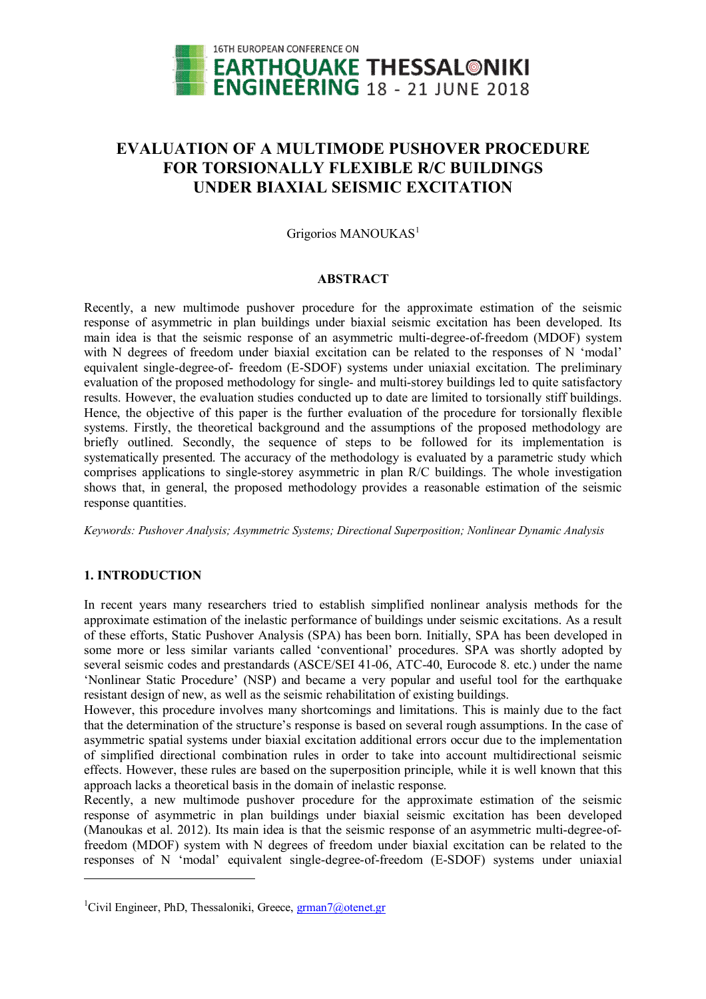

# **EVALUATION OF A MULTIMODE PUSHOVER PROCEDURE FOR TORSIONALLY FLEXIBLE R/C BUILDINGS UNDER BIAXIAL SEISMIC EXCITATION**

Grigorios MANOUKAS<sup>1</sup>

#### **ABSTRACT**

Recently, a new multimode pushover procedure for the approximate estimation of the seismic response of asymmetric in plan buildings under biaxial seismic excitation has been developed. Its main idea is that the seismic response of an asymmetric multi-degree-of-freedom (MDOF) system with N degrees of freedom under biaxial excitation can be related to the responses of N 'modal' equivalent single-degree-of- freedom (E-SDOF) systems under uniaxial excitation. The preliminary evaluation of the proposed methodology for single- and multi-storey buildings led to quite satisfactory results. However, the evaluation studies conducted up to date are limited to torsionally stiff buildings. Hence, the objective of this paper is the further evaluation of the procedure for torsionally flexible systems. Firstly, the theoretical background and the assumptions of the proposed methodology are briefly outlined. Secondly, the sequence of steps to be followed for its implementation is systematically presented. The accuracy of the methodology is evaluated by a parametric study which comprises applications to single-storey asymmetric in plan R/C buildings. The whole investigation shows that, in general, the proposed methodology provides a reasonable estimation of the seismic response quantities.

*Keywords: Pushover Analysis; Asymmetric Systems; Directional Superposition; Nonlinear Dynamic Analysis*

## **1. INTRODUCTION**

 $\overline{a}$ 

In recent years many researchers tried to establish simplified nonlinear analysis methods for the approximate estimation of the inelastic performance of buildings under seismic excitations. As a result of these efforts, Static Pushover Analysis (SPA) has been born. Initially, SPA has been developed in some more or less similar variants called 'conventional' procedures. SPA was shortly adopted by several seismic codes and prestandards (ASCE/SEI 41-06, ATC-40, Eurocode 8. etc.) under the name 'Nonlinear Static Procedure' (NSP) and became a very popular and useful tool for the earthquake resistant design of new, as well as the seismic rehabilitation of existing buildings.

However, this procedure involves many shortcomings and limitations. This is mainly due to the fact that the determination of the structure's response is based on several rough assumptions. In the case of asymmetric spatial systems under biaxial excitation additional errors occur due to the implementation of simplified directional combination rules in order to take into account multidirectional seismic effects. However, these rules are based on the superposition principle, while it is well known that this approach lacks a theoretical basis in the domain of inelastic response.

Recently, a new multimode pushover procedure for the approximate estimation of the seismic response of asymmetric in plan buildings under biaxial seismic excitation has been developed (Manoukas et al. 2012). Its main idea is that the seismic response of an asymmetric multi-degree-offreedom (MDOF) system with N degrees of freedom under biaxial excitation can be related to the responses of N 'modal' equivalent single-degree-of-freedom (E-SDOF) systems under uniaxial

<sup>&</sup>lt;sup>1</sup>Civil Engineer, PhD, Thessaloniki, Greece,  $\frac{gram\pi}{a}$ otenet.gr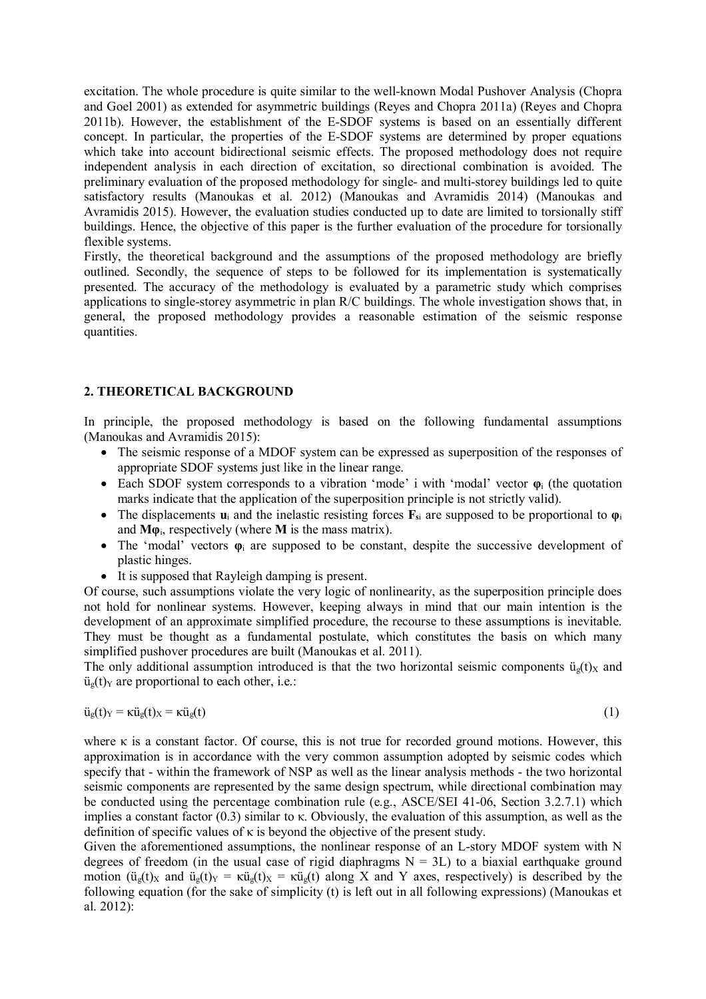excitation. The whole procedure is quite similar to the well-known Modal Pushover Analysis (Chopra and Goel 2001) as extended for asymmetric buildings (Reyes and Chopra 2011a) (Reyes and Chopra 2011b). However, the establishment of the E-SDOF systems is based on an essentially different concept. In particular, the properties of the E-SDOF systems are determined by proper equations which take into account bidirectional seismic effects. The proposed methodology does not require independent analysis in each direction of excitation, so directional combination is avoided. The preliminary evaluation of the proposed methodology for single- and multi-storey buildings led to quite satisfactory results (Manoukas et al. 2012) (Manoukas and Avramidis 2014) (Manoukas and Avramidis 2015). However, the evaluation studies conducted up to date are limited to torsionally stiff buildings. Hence, the objective of this paper is the further evaluation of the procedure for torsionally flexible systems.

Firstly, the theoretical background and the assumptions of the proposed methodology are briefly outlined. Secondly, the sequence of steps to be followed for its implementation is systematically presented. The accuracy of the methodology is evaluated by a parametric study which comprises applications to single-storey asymmetric in plan R/C buildings. The whole investigation shows that, in general, the proposed methodology provides a reasonable estimation of the seismic response quantities.

# **2. THEORETICAL BACKGROUND**

In principle, the proposed methodology is based on the following fundamental assumptions (Manoukas and Avramidis 2015):

- The seismic response of a MDOF system can be expressed as superposition of the responses of appropriate SDOF systems just like in the linear range.
- Each SDOF system corresponds to a vibration 'mode' i with 'modal' vector **φ**<sup>i</sup> (the quotation marks indicate that the application of the superposition principle is not strictly valid).
- The displacements **u**<sup>i</sup> and the inelastic resisting forces **Fs**<sup>i</sup> are supposed to be proportional to **φ**<sup>i</sup> and **Mφ**i, respectively (where **M** is the mass matrix).
- The 'modal' vectors **φ**<sup>i</sup> are supposed to be constant, despite the successive development of plastic hinges.
- It is supposed that Rayleigh damping is present.

Of course, such assumptions violate the very logic of nonlinearity, as the superposition principle does not hold for nonlinear systems. However, keeping always in mind that our main intention is the development of an approximate simplified procedure, the recourse to these assumptions is inevitable. They must be thought as a fundamental postulate, which constitutes the basis on which many simplified pushover procedures are built (Manoukas et al. 2011).

The only additional assumption introduced is that the two horizontal seismic components  $\ddot{u}_{g}(t)_{X}$  and  $ü_g(t)_Y$  are proportional to each other, i.e.:

$$
\ddot{u}_g(t)_Y = \kappa \ddot{u}_g(t)_X = \kappa \ddot{u}_g(t) \tag{1}
$$

where  $\kappa$  is a constant factor. Of course, this is not true for recorded ground motions. However, this approximation is in accordance with the very common assumption adopted by seismic codes which specify that - within the framework of NSP as well as the linear analysis methods - the two horizontal seismic components are represented by the same design spectrum, while directional combination may be conducted using the percentage combination rule (e.g., ASCE/SEI 41-06, Section 3.2.7.1) which implies a constant factor (0.3) similar to κ. Obviously, the evaluation of this assumption, as well as the definition of specific values of  $\kappa$  is beyond the objective of the present study.

Given the aforementioned assumptions, the nonlinear response of an L-story MDOF system with N degrees of freedom (in the usual case of rigid diaphragms  $N = 3L$ ) to a biaxial earthquake ground motion ( $\ddot{u}_{g}(t)_{X}$  and  $\ddot{u}_{g}(t)_{Y} = \kappa \ddot{u}_{g}(t)_{X} = \kappa \ddot{u}_{g}(t)$  along X and Y axes, respectively) is described by the following equation (for the sake of simplicity (t) is left out in all following expressions) (Manoukas et al. 2012):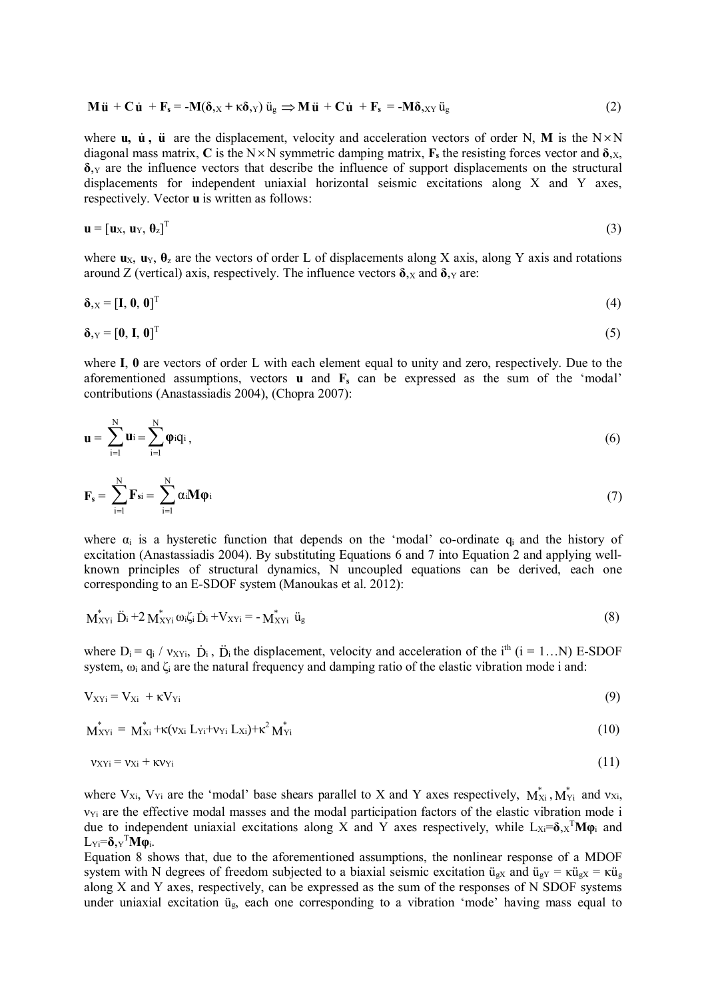$$
\mathbf{M}\ddot{\mathbf{u}} + \mathbf{C}\dot{\mathbf{u}} + \mathbf{F}_s = -\mathbf{M}(\delta_{,X} + \kappa \delta_{,Y})\ddot{u}_g \Rightarrow \mathbf{M}\ddot{\mathbf{u}} + \mathbf{C}\dot{\mathbf{u}} + \mathbf{F}_s = -\mathbf{M}\delta_{,XY}\ddot{u}_g
$$
(2)

where  $\bf{u}$ ,  $\bf{\dot{u}}$ ,  $\bf{\ddot{u}}$  are the displacement, velocity and acceleration vectors of order N, **M** is the N $\times$ N diagonal mass matrix, C is the N $\times$ N symmetric damping matrix, **F**<sub>s</sub> the resisting forces vector and  $\delta$ <sub>*N*</sub>, **δ**,<sup>Υ</sup> are the influence vectors that describe the influence of support displacements on the structural displacements for independent uniaxial horizontal seismic excitations along X and Y axes, respectively. Vector **u** is written as follows:

$$
\mathbf{u} = [\mathbf{u}_X, \mathbf{u}_Y, \boldsymbol{\theta}_z]^T
$$
 (3)

where  $\mathbf{u}_X$ ,  $\mathbf{u}_Y$ ,  $\mathbf{\theta}_z$  are the vectors of order L of displacements along X axis, along Y axis and rotations around Z (vertical) axis, respectively. The influence vectors  $\delta$ , x and  $\delta$ , y are:

$$
\delta_{,X} = [\mathbf{I}, \mathbf{0}, \mathbf{0}]^{\mathrm{T}} \tag{4}
$$

$$
\delta_{,Y} = [0, I, 0]^T
$$
 (5)

where **I**, **0** are vectors of order L with each element equal to unity and zero, respectively. Due to the aforementioned assumptions, vectors **u** and  $\mathbf{F}_s$  can be expressed as the sum of the 'modal' contributions (Anastassiadis 2004), (Chopra 2007):

$$
\mathbf{u} = \sum_{i=1}^{N} \mathbf{u}_i = \sum_{i=1}^{N} \boldsymbol{\varphi}_i \mathbf{q}_i, \qquad (6)
$$

$$
\mathbf{F}_{\mathbf{s}} = \sum_{i=1}^{N} \mathbf{F}_{\mathbf{s}i} = \sum_{i=1}^{N} \alpha_i \mathbf{M} \boldsymbol{\varphi}_i
$$
 (7)

where  $\alpha_i$  is a hysteretic function that depends on the 'modal' co-ordinate  $q_i$  and the history of excitation (Anastassiadis 2004). By substituting Equations 6 and 7 into Equation 2 and applying wellknown principles of structural dynamics, N uncoupled equations can be derived, each one corresponding to an E-SDOF system (Manoukas et al. 2012):

$$
\mathbf{M}_{XYi}^* \ddot{\mathbf{D}}_i + 2 \mathbf{M}_{XYi}^* \omega_i \zeta_i \dot{\mathbf{D}}_i + \mathbf{V}_{XYi} = -\mathbf{M}_{XYi}^* \ddot{\mathbf{u}}_g \tag{8}
$$

where  $D_i = q_i / v_{XYi}$ ,  $\dot{D}_i$ ,  $\ddot{D}_i$  the displacement, velocity and acceleration of the i<sup>th</sup> (i = 1...N) E-SDOF system,  $\omega_i$  and  $\zeta_i$  are the natural frequency and damping ratio of the elastic vibration mode i and:

$$
V_{XYi} = V_{Xi} + \kappa V_{Yi}
$$
\n(9)

$$
\mathbf{M}_{XYi}^* = \mathbf{M}_{Xi}^* + \kappa (v_{Xi} L_{Yi} + v_{Yi} L_{Xi}) + \kappa^2 \mathbf{M}_{Yi}^* \tag{10}
$$

$$
v_{XYi} = v_{Xi} + \kappa v_{Yi}
$$
 (11)

where  $V_{Xi}$ ,  $V_{Yi}$  are the 'modal' base shears parallel to X and Y axes respectively,  $M_{Xi}^*$ ,  $M_{Yi}^*$  and  $v_{Xi}$ ,  $v_{\text{Yi}}$  are the effective modal masses and the modal participation factors of the elastic vibration mode i due to independent uniaxial excitations along X and Y axes respectively, while L<sub>Xi</sub>=δ<sub>*N*</sub><sup>T</sup>Mφ<sub>i</sub> and LΥi=**δ**,<sup>Υ</sup> <sup>Τ</sup>**Μφ**i.

Equation 8 shows that, due to the aforementioned assumptions, the nonlinear response of a MDOF system with N degrees of freedom subjected to a biaxial seismic excitation  $\ddot{u}_{gX}$  and  $\ddot{u}_{gY} = \kappa \ddot{u}_{gX} = \kappa \ddot{u}_{gX}$ along X and Y axes, respectively, can be expressed as the sum of the responses of N SDOF systems under uniaxial excitation üg, each one corresponding to a vibration 'mode' having mass equal to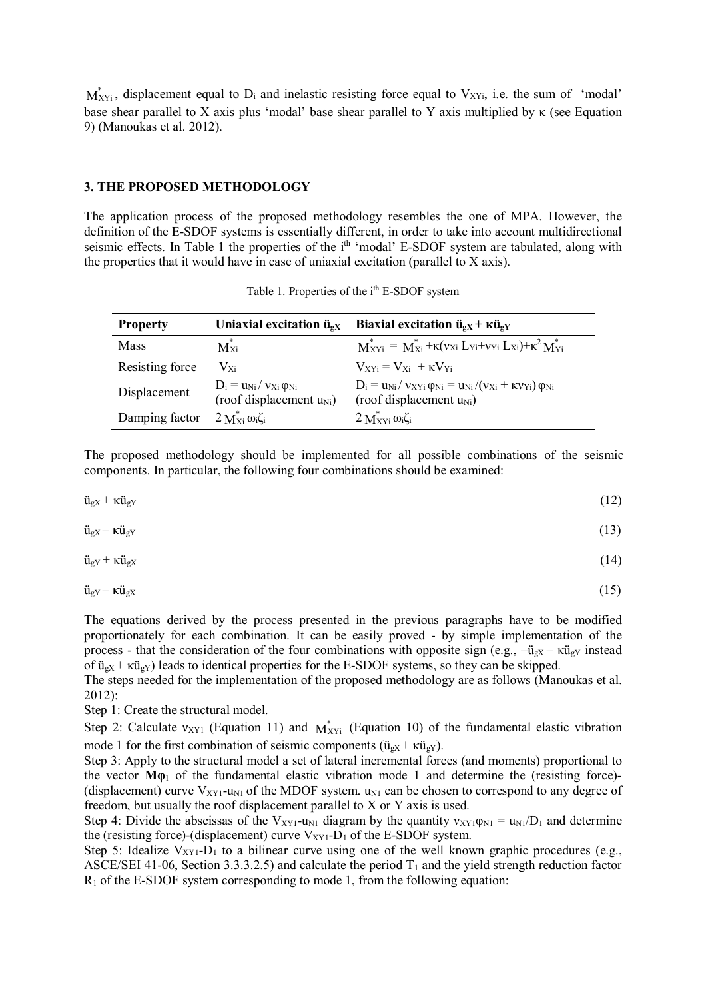$M'_{XYi}$ , displacement equal to  $D_i$  and inelastic resisting force equal to  $V_{XYi}$ , i.e. the sum of 'modal' base shear parallel to X axis plus 'modal' base shear parallel to Y axis multiplied by  $\kappa$  (see Equation 9) (Manoukas et al. 2012).

#### **3. THE PROPOSED METHODOLOGY**

The application process of the proposed methodology resembles the one of MPA. However, the definition of the E-SDOF systems is essentially different, in order to take into account multidirectional seismic effects. In Table 1 the properties of the i<sup>th</sup> 'modal' E-SDOF system are tabulated, along with the properties that it would have in case of uniaxial excitation (parallel to X axis).

| <b>Property</b> | Uniaxial excitation $\ddot{\mathbf{u}}_{gX}$                        | Biaxial excitation $\ddot{u}_{gX}$ + $\kappa \ddot{u}_{gY}$                                                             |
|-----------------|---------------------------------------------------------------------|-------------------------------------------------------------------------------------------------------------------------|
| <b>Mass</b>     | $M_{X_i}^*$                                                         | $M_{XYi}^* = M_{Xi}^* + \kappa (v_{Xi} L_{Yi} + v_{Yi} L_{Xi}) + \kappa^2 M_{Yi}^*$                                     |
| Resisting force | $V_{Xi}$                                                            | $V_{\rm xvi} = V_{\rm xi} + \kappa V_{\rm vi}$                                                                          |
| Displacement    | $D_i = u_{Ni}/v_{Xi} \varphi_{Ni}$<br>(roof displacement $u_{Ni}$ ) | $D_i = u_{Ni} / v_{XYi} \varphi_{Ni} = u_{Ni} / (v_{Xi} + \kappa v_{Yi}) \varphi_{Ni}$<br>(roof displacement $u_{Ni}$ ) |
| Damping factor  | $2 M_{\rm Xi}^* \omega_i \zeta_i$                                   | $2 \text{M}^*_{\text{XYi}} \omega_i \zeta_i$                                                                            |

Table 1. Properties of the i<sup>th</sup> E-SDOF system

The proposed methodology should be implemented for all possible combinations of the seismic components. In particular, the following four combinations should be examined:

$$
\ddot{\mathbf{u}}_{\text{gX}} + \kappa \ddot{\mathbf{u}}_{\text{gY}} \tag{12}
$$

$$
\ddot{\mathbf{u}}_{\text{gX}} - \kappa \ddot{\mathbf{u}}_{\text{gY}} \tag{13}
$$

$$
\ddot{\mathbf{u}}_{\text{gY}} + \kappa \ddot{\mathbf{u}}_{\text{gX}} \tag{14}
$$

$$
\ddot{\mathbf{u}}_{\text{gY}} - \kappa \ddot{\mathbf{u}}_{\text{gX}} \tag{15}
$$

The equations derived by the process presented in the previous paragraphs have to be modified proportionately for each combination. It can be easily proved - by simple implementation of the process - that the consideration of the four combinations with opposite sign (e.g.,  $-\ddot{u}_{gx} - \kappa \ddot{u}_{gx}$  instead of  $\ddot{u}_{gX}$  +  $\kappa \ddot{u}_{gY}$ ) leads to identical properties for the E-SDOF systems, so they can be skipped.

The steps needed for the implementation of the proposed methodology are as follows (Manoukas et al. 2012):

Step 1: Create the structural model.

Step 2: Calculate  $v_{XY1}$  (Equation 11) and  $M_{XYi}^*$  (Equation 10) of the fundamental elastic vibration mode 1 for the first combination of seismic components ( $\ddot{u}_{gX}$  +  $\kappa \ddot{u}_{gY}$ ).

Step 3: Apply to the structural model a set of lateral incremental forces (and moments) proportional to the vector  $M\varphi_1$  of the fundamental elastic vibration mode 1 and determine the (resisting force)-(displacement) curve  $V_{XY1}$ -u<sub>N1</sub> of the MDOF system. u<sub>N1</sub> can be chosen to correspond to any degree of freedom, but usually the roof displacement parallel to X or Y axis is used.

Step 4: Divide the abscissas of the V<sub>XY1</sub>-u<sub>N1</sub> diagram by the quantity  $v_{XY1}\varphi_{N1} = u_{N1}/D_1$  and determine the (resisting force)-(displacement) curve  $V_{XY1}$ -D<sub>1</sub> of the E-SDOF system.

Step 5: Idealize  $V_{XY1}$ -D<sub>1</sub> to a bilinear curve using one of the well known graphic procedures (e.g., ASCE/SEI 41-06, Section 3.3.3.2.5) and calculate the period  $T_1$  and the yield strength reduction factor  $R_1$  of the E-SDOF system corresponding to mode 1, from the following equation: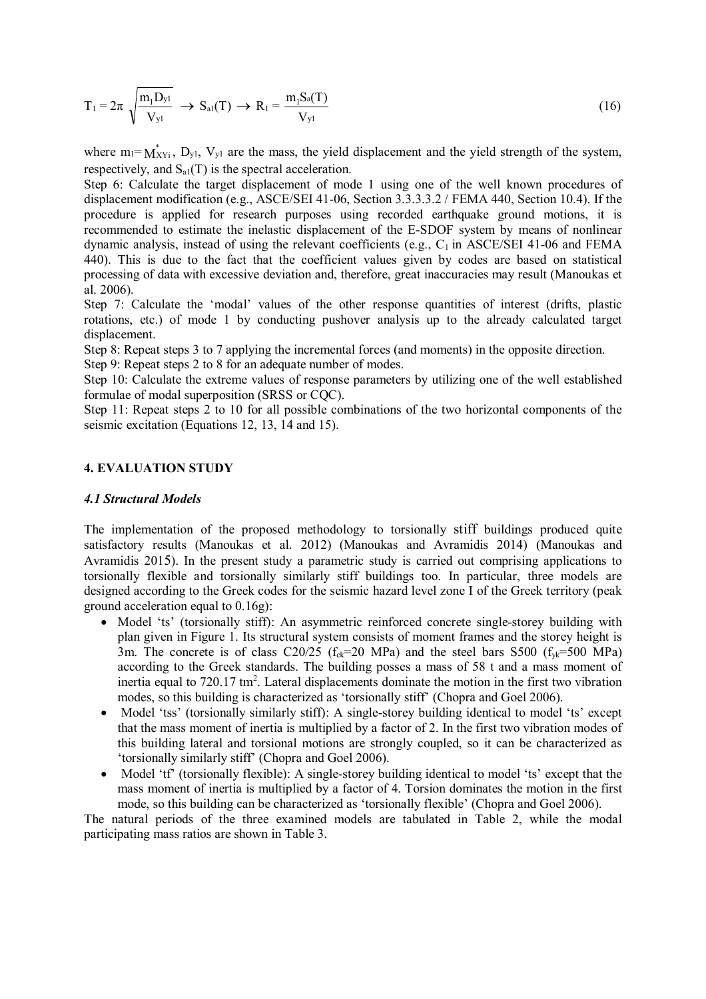$$
T_1 = 2\pi \sqrt{\frac{m_1 D_{y1}}{V_{y1}}} \rightarrow S_{a1}(T) \rightarrow R_1 = \frac{m_1 S_a(T)}{V_{y1}}
$$
(16)

where  $m_l = M_{XYi}^*$ ,  $D_{y_l}$ ,  $V_{y_l}$  are the mass, the yield displacement and the yield strength of the system, respectively, and  $S_{aI}(T)$  is the spectral acceleration.

Step 6: Calculate the target displacement of mode 1 using one of the well known procedures of displacement modification (e.g., ASCE/SEI 41-06, Section 3.3.3.3.2 / FEMA 440, Section 10.4). If the procedure is applied for research purposes using recorded earthquake ground motions, it is recommended to estimate the inelastic displacement of the E-SDOF system by means of nonlinear dynamic analysis, instead of using the relevant coefficients (e.g.,  $C_1$  in ASCE/SEI 41-06 and FEMA 440). This is due to the fact that the coefficient values given by codes are based on statistical processing of data with excessive deviation and, therefore, great inaccuracies may result (Manoukas et al. 2006).

Step 7: Calculate the 'modal' values of the other response quantities of interest (drifts, plastic rotations, etc.) of mode 1 by conducting pushover analysis up to the already calculated target displacement.

Step 8: Repeat steps 3 to 7 applying the incremental forces (and moments) in the opposite direction. Step 9: Repeat steps 2 to 8 for an adequate number of modes.

Step 10: Calculate the extreme values of response parameters by utilizing one of the well established formulae of modal superposition (SRSS or CQC).

Step 11: Repeat steps 2 to 10 for all possible combinations of the two horizontal components of the seismic excitation (Equations 12, 13, 14 and 15).

#### **4. EVALUATION STUDY**

## *4.1 Structural Models*

The implementation of the proposed methodology to torsionally stiff buildings produced quite satisfactory results (Manoukas et al. 2012) (Manoukas and Avramidis 2014) (Manoukas and Avramidis 2015). In the present study a parametric study is carried out comprising applications to torsionally flexible and torsionally similarly stiff buildings too. In particular, three models are designed according to the Greek codes for the seismic hazard level zone I of the Greek territory (peak ground acceleration equal to 0.16g):

- Model 'ts' (torsionally stiff): An asymmetric reinforced concrete single-storey building with plan given in Figure 1. Its structural system consists of moment frames and the storey height is 3m. The concrete is of class C20/25 ( $f_{ck}=20$  MPa) and the steel bars S500 ( $f_{vk}=500$  MPa) according to the Greek standards. The building posses a mass of 58 t and a mass moment of inertia equal to  $720.17 \text{ tm}^2$ . Lateral displacements dominate the motion in the first two vibration modes, so this building is characterized as 'torsionally stiff' (Chopra and Goel 2006).
- Model 'tss' (torsionally similarly stiff): A single-storey building identical to model 'ts' except that the mass moment of inertia is multiplied by a factor of 2. In the first two vibration modes of this building lateral and torsional motions are strongly coupled, so it can be characterized as 'torsionally similarly stiff' (Chopra and Goel 2006).
- Model 'tf' (torsionally flexible): A single-storey building identical to model 'ts' except that the mass moment of inertia is multiplied by a factor of 4. Torsion dominates the motion in the first mode, so this building can be characterized as 'torsionally flexible' (Chopra and Goel 2006).

The natural periods of the three examined models are tabulated in Table 2, while the modal participating mass ratios are shown in Table 3.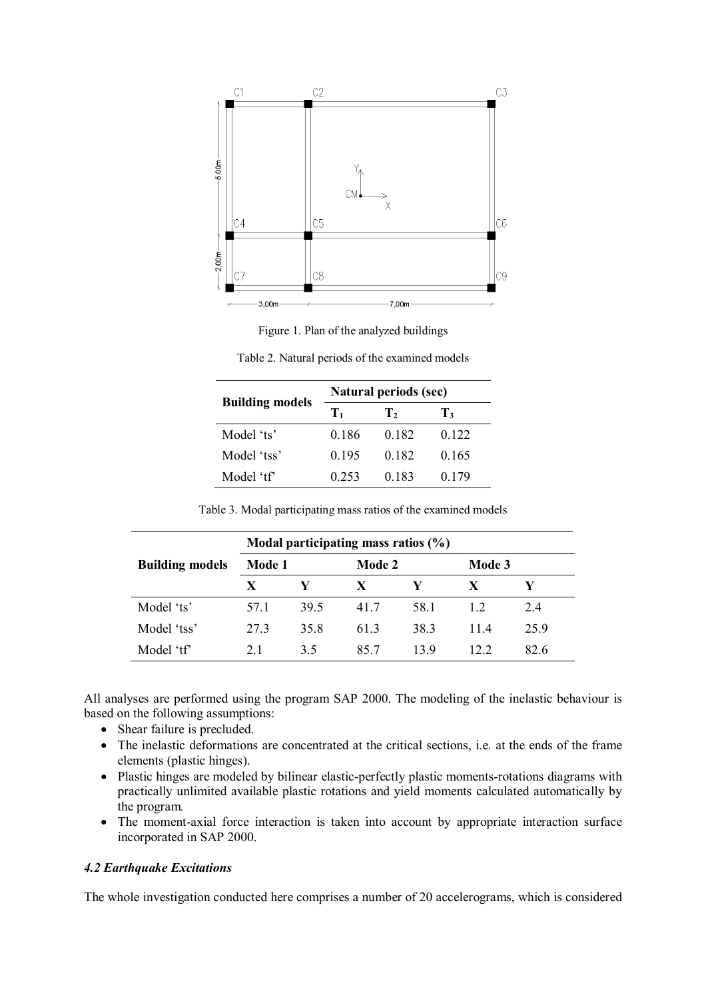

Figure 1. Plan of the analyzed buildings

| <b>Building models</b> | <b>Natural periods (sec)</b> |       |       |  |  |
|------------------------|------------------------------|-------|-------|--|--|
|                        | Tı                           | т,    | T3    |  |  |
| Model 'ts'             | 0.186                        | 0.182 | 0.122 |  |  |
| Model 'tss'            | 0.195                        | 0.182 | 0.165 |  |  |
| Model 'tf'             | 0.253                        | 0.183 | 0.179 |  |  |

Table 2. Natural periods of the examined models

|                        | Modal participating mass ratios $(\% )$ |      |        |      |        |      |  |
|------------------------|-----------------------------------------|------|--------|------|--------|------|--|
| <b>Building models</b> | Mode 1                                  |      | Mode 2 |      | Mode 3 |      |  |
|                        | X                                       |      | X      | V    | X      |      |  |
| Model 'ts'             | 57.1                                    | 39.5 | 41.7   | 58.1 | 1.2.   | 2.4  |  |
| Model 'tss'            | 27.3                                    | 35.8 | 61.3   | 38.3 | 11.4   | 25.9 |  |
| Model 'tf'             | 21                                      | 3.5  | 85.7   | 13.9 | 122    | 82.6 |  |

Table 3. Modal participating mass ratios of the examined models

All analyses are performed using the program SAP 2000. The modeling of the inelastic behaviour is based on the following assumptions:

- Shear failure is precluded.
- The inelastic deformations are concentrated at the critical sections, i.e. at the ends of the frame elements (plastic hinges).
- Plastic hinges are modeled by bilinear elastic-perfectly plastic moments-rotations diagrams with practically unlimited available plastic rotations and yield moments calculated automatically by the program*.*
- The moment-axial force interaction is taken into account by appropriate interaction surface incorporated in SAP 2000.

## *4.2 Earthquake Excitations*

The whole investigation conducted here comprises a number of 20 accelerograms, which is considered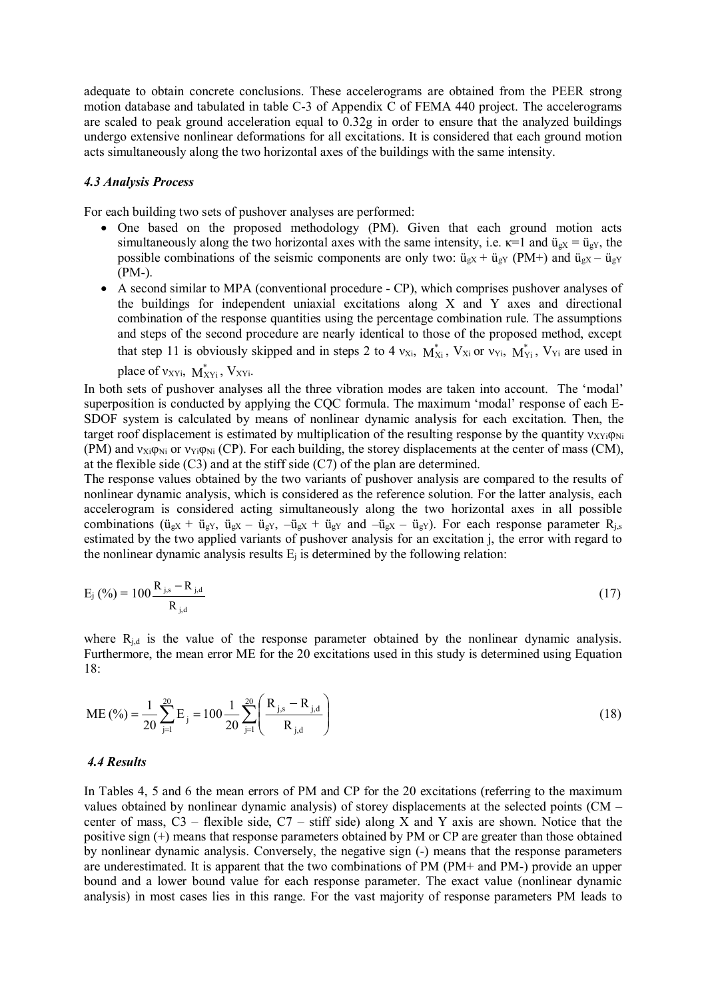adequate to obtain concrete conclusions. These accelerograms are obtained from the PEER strong motion database and tabulated in table C-3 of Appendix C of FEMA 440 project. The accelerograms are scaled to peak ground acceleration equal to 0.32g in order to ensure that the analyzed buildings undergo extensive nonlinear deformations for all excitations. It is considered that each ground motion acts simultaneously along the two horizontal axes of the buildings with the same intensity.

#### *4.3 Analysis Process*

For each building two sets of pushover analyses are performed:

- One based on the proposed methodology (PM). Given that each ground motion acts simultaneously along the two horizontal axes with the same intensity, i.e.  $\kappa=1$  and  $\ddot{u}_{gX} = \ddot{u}_{gY}$ , the possible combinations of the seismic components are only two:  $\ddot{u}_{gx} + \ddot{u}_{gx}$  (PM+) and  $\ddot{u}_{gx} - \ddot{u}_{gx}$ (PM-).
- A second similar to MPA (conventional procedure CP), which comprises pushover analyses of the buildings for independent uniaxial excitations along X and Y axes and directional combination of the response quantities using the percentage combination rule. The assumptions and steps of the second procedure are nearly identical to those of the proposed method, except that step 11 is obviously skipped and in steps 2 to 4  $v_{Xi}$ ,  $M_{Xi}^{*}$ ,  $V_{Xi}$  or  $v_{Yi}$ ,  $M_{Yi}^{*}$ ,  $V_{Yi}$  are used in

place of  $v_{XYi}$ ,  $M^*_{XYi}$ ,  $V_{XYi}$ .

In both sets of pushover analyses all the three vibration modes are taken into account. The 'modal' superposition is conducted by applying the CQC formula. The maximum 'modal' response of each E-SDOF system is calculated by means of nonlinear dynamic analysis for each excitation. Then, the target roof displacement is estimated by multiplication of the resulting response by the quantity  $v_{XYi}\varphi_{Ni}$ (PM) and  $v_{Xi} \varphi_{Ni}$  or  $v_{Yi} \varphi_{Ni}$  (CP). For each building, the storey displacements at the center of mass (CM), at the flexible side  $(C3)$  and at the stiff side  $(C7)$  of the plan are determined.

The response values obtained by the two variants of pushover analysis are compared to the results of nonlinear dynamic analysis, which is considered as the reference solution. For the latter analysis, each accelerogram is considered acting simultaneously along the two horizontal axes in all possible combinations ( $\ddot{u}_{gx} + \ddot{u}_{gx}$ ,  $\ddot{u}_{gx} - \ddot{u}_{gx}$ ,  $-\ddot{u}_{gx} + \ddot{u}_{gx}$  and  $-\ddot{u}_{gx} - \ddot{u}_{gx}$ ). For each response parameter  $R_{i,s}$ estimated by the two applied variants of pushover analysis for an excitation j, the error with regard to the nonlinear dynamic analysis results  $E_i$  is determined by the following relation:

$$
E_{j} (\%)= 100 \frac{R_{j,s} - R_{j,d}}{R_{j,d}}
$$
 (17)

where  $R_{j,d}$  is the value of the response parameter obtained by the nonlinear dynamic analysis. Furthermore, the mean error ME for the 20 excitations used in this study is determined using Equation 18:

$$
ME\left(\frac{\%}{20}\right) = \frac{1}{20} \sum_{j=1}^{20} E_j = 100 \frac{1}{20} \sum_{j=1}^{20} \left( \frac{R_{j,s} - R_{j,d}}{R_{j,d}} \right)
$$
\n(18)

#### *4.4 Results*

In Tables 4, 5 and 6 the mean errors of PM and CP for the 20 excitations (referring to the maximum values obtained by nonlinear dynamic analysis) of storey displacements at the selected points (CM – center of mass,  $C3$  – flexible side,  $C7$  – stiff side) along X and Y axis are shown. Notice that the positive sign (+) means that response parameters obtained by PM or CP are greater than those obtained by nonlinear dynamic analysis. Conversely, the negative sign (-) means that the response parameters are underestimated. It is apparent that the two combinations of PM (PM+ and PM-) provide an upper bound and a lower bound value for each response parameter. The exact value (nonlinear dynamic analysis) in most cases lies in this range. For the vast majority of response parameters PM leads to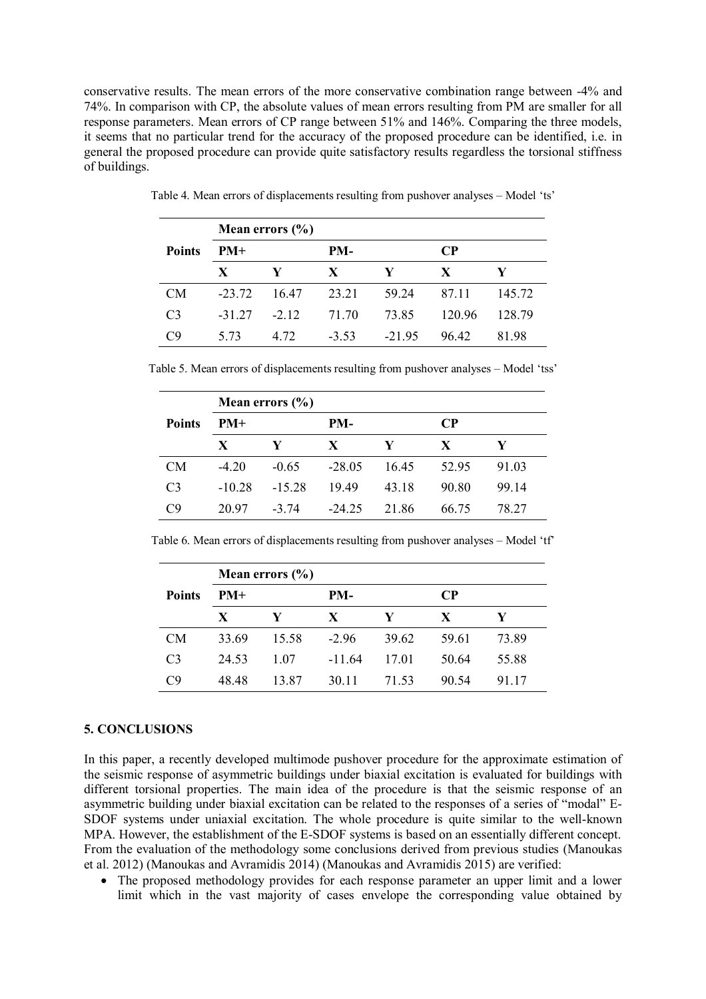conservative results. The mean errors of the more conservative combination range between -4% and 74%. In comparison with CP, the absolute values of mean errors resulting from PM are smaller for all response parameters. Mean errors of CP range between 51% and 146%. Comparing the three models, it seems that no particular trend for the accuracy of the proposed procedure can be identified, i.e. in general the proposed procedure can provide quite satisfactory results regardless the torsional stiffness of buildings.

|                | Mean errors $(\% )$ |              |              |          |              |        |  |
|----------------|---------------------|--------------|--------------|----------|--------------|--------|--|
| <b>Points</b>  | $PM+$               |              | PM-          |          | $\bf CP$     |        |  |
|                | $\mathbf{X}$        | $\mathbf{Y}$ | $\mathbf{X}$ | Y        | $\mathbf{X}$ | Y      |  |
| CM             | $-23.72$            | 16.47        | 23.21        | 59.24    | 87.11        | 145.72 |  |
| C <sub>3</sub> | $-31.27$            | $-2.12$      | 71.70        | 73.85    | 120.96       | 128.79 |  |
| C9             | 5.73                | 4.72         | $-3.53$      | $-21.95$ | 96.42        | 81.98  |  |

Table 4. Mean errors of displacements resulting from pushover analyses – Model 'ts'

Table 5. Mean errors of displacements resulting from pushover analyses – Model 'tss'

|                | Mean errors $(\% )$ |          |          |       |           |       |  |
|----------------|---------------------|----------|----------|-------|-----------|-------|--|
| <b>Points</b>  | $PM+$               |          | PM-      |       | <b>CP</b> |       |  |
|                | X                   | Y        | X        | Y     | X         | Y     |  |
| <b>CM</b>      | $-4.20$             | $-0.65$  | $-28.05$ | 16.45 | 52.95     | 91.03 |  |
| C <sub>3</sub> | $-10.28$            | $-15.28$ | 19.49    | 43.18 | 90.80     | 99.14 |  |
| C9             | 20.97               | $-3.74$  | $-24.25$ | 21.86 | 66.75     | 78.27 |  |

Table 6. Mean errors of displacements resulting from pushover analyses – Model 'tf'

|                | Mean errors $(\% )$ |       |          |       |       |          |  |
|----------------|---------------------|-------|----------|-------|-------|----------|--|
| <b>Points</b>  | $PM+$               |       | PM-      |       |       | $\bf CP$ |  |
|                | $\mathbf{X}$        | Y     | X        | Y     | X     | Y        |  |
| CM             | 33.69               | 15.58 | $-2.96$  | 39.62 | 59.61 | 73.89    |  |
| C <sub>3</sub> | 24.53               | 1.07  | $-11.64$ | 17.01 | 50.64 | 55.88    |  |
| C9             | 48.48               | 13.87 | 30.11    | 71.53 | 90.54 | 91.17    |  |

#### **5. CONCLUSIONS**

In this paper, a recently developed multimode pushover procedure for the approximate estimation of the seismic response of asymmetric buildings under biaxial excitation is evaluated for buildings with different torsional properties. The main idea of the procedure is that the seismic response of an asymmetric building under biaxial excitation can be related to the responses of a series of "modal" E-SDOF systems under uniaxial excitation. The whole procedure is quite similar to the well-known MPA. However, the establishment of the E-SDOF systems is based on an essentially different concept. From the evaluation of the methodology some conclusions derived from previous studies (Manoukas et al. 2012) (Manoukas and Avramidis 2014) (Manoukas and Avramidis  $2015$ ) are verified:

• The proposed methodology provides for each response parameter an upper limit and a lower limit which in the vast majority of cases envelope the corresponding value obtained by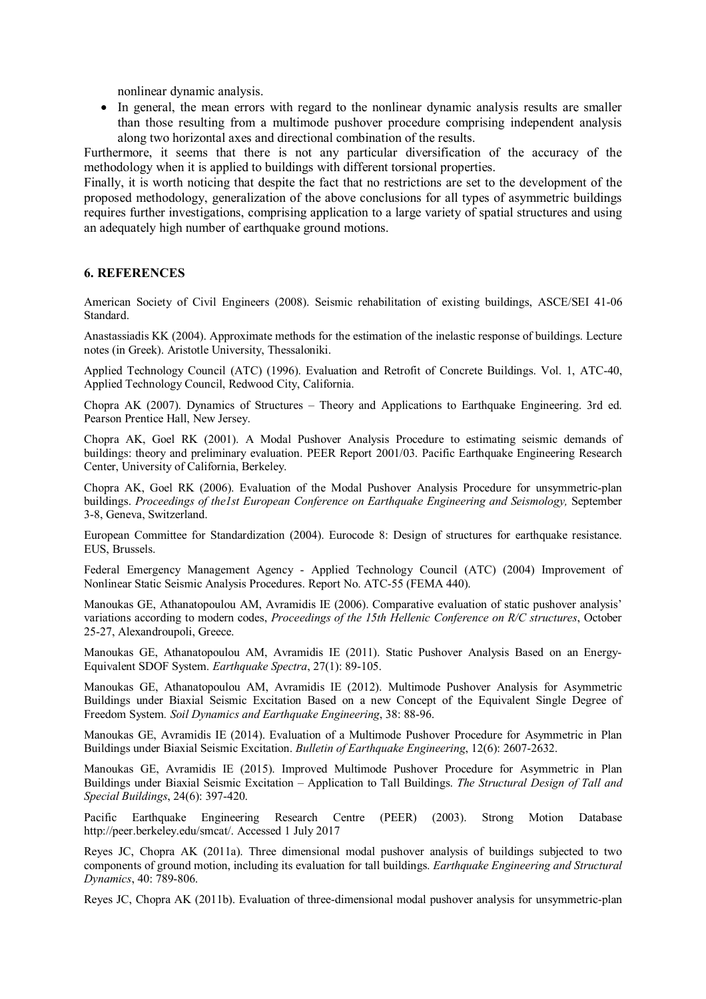nonlinear dynamic analysis.

 In general, the mean errors with regard to the nonlinear dynamic analysis results are smaller than those resulting from a multimode pushover procedure comprising independent analysis along two horizontal axes and directional combination of the results.

Furthermore, it seems that there is not any particular diversification of the accuracy of the methodology when it is applied to buildings with different torsional properties.

Finally, it is worth noticing that despite the fact that no restrictions are set to the development of the proposed methodology, generalization of the above conclusions for all types of asymmetric buildings requires further investigations, comprising application to a large variety of spatial structures and using an adequately high number of earthquake ground motions.

#### **6. REFERENCES**

American Society of Civil Engineers (2008). Seismic rehabilitation of existing buildings, ASCE/SEI 41-06 Standard.

Anastassiadis ΚΚ (2004). Approximate methods for the estimation of the inelastic response of buildings. Lecture notes (in Greek). Aristotle University, Thessaloniki.

Applied Technology Council (ATC) (1996). Evaluation and Retrofit of Concrete Buildings. Vol. 1, ATC-40, Applied Technology Council, Redwood City, California.

Chopra AK (2007). Dynamics of Structures – Theory and Applications to Earthquake Engineering. 3rd ed. Pearson Prentice Hall, New Jersey.

Chopra AK, Goel RK (2001). A Modal Pushover Analysis Procedure to estimating seismic demands of buildings: theory and preliminary evaluation. PEER Report 2001/03. Pacific Earthquake Engineering Research Center, University of California, Berkeley.

Chopra AK, Goel RK (2006). Evaluation of the Modal Pushover Analysis Procedure for unsymmetric-plan buildings. *Proceedings of the1st European Conference on Earthquake Engineering and Seismology,* September 3-8, Geneva, Switzerland.

European Committee for Standardization (2004). Eurocode 8: Design of structures for earthquake resistance. EUS, Brussels.

Federal Emergency Management Agency - Applied Technology Council (ATC) (2004) Improvement of Nonlinear Static Seismic Analysis Procedures. Report No. ATC-55 (FEMA 440).

Manoukas GE, Athanatopoulou AM, Avramidis IE (2006). Comparative evaluation of static pushover analysis' variations according to modern codes, *Proceedings of the 15th Hellenic Conference on R/C structures*, October 25-27, Alexandroupoli, Greece.

Manoukas GE, Athanatopoulou AM, Avramidis IE (2011). Static Pushover Analysis Based on an Energy-Equivalent SDOF System. *Earthquake Spectra*, 27(1): 89-105.

Manoukas GE, Athanatopoulou AM, Avramidis IE (2012). Multimode Pushover Analysis for Asymmetric Buildings under Biaxial Seismic Excitation Based on a new Concept of the Equivalent Single Degree of Freedom System*. Soil Dynamics and Earthquake Engineering*, 38: 88-96.

Manoukas GE, Avramidis IE (2014). Evaluation of a Multimode Pushover Procedure for Asymmetric in Plan Buildings under Biaxial Seismic Excitation. *Bulletin of Earthquake Engineering*, 12(6): 2607-2632.

Manoukas GE, Avramidis IE (2015). Improved Multimode Pushover Procedure for Asymmetric in Plan Buildings under Biaxial Seismic Excitation – Application to Tall Buildings. *The Structural Design of Tall and Special Buildings*, 24(6): 397-420.

Pacific Earthquake Engineering Research Centre (PEER) (2003). Strong Motion Database http://peer.berkeley.edu/smcat/. Accessed 1 July 2017

Reyes JC, Chopra AK (2011a). Three dimensional modal pushover analysis of buildings subjected to two components of ground motion, including its evaluation for tall buildings. *Earthquake Engineering and Structural Dynamics*, 40: 789-806.

Reyes JC, Chopra AK (2011b). Evaluation of three-dimensional modal pushover analysis for unsymmetric-plan